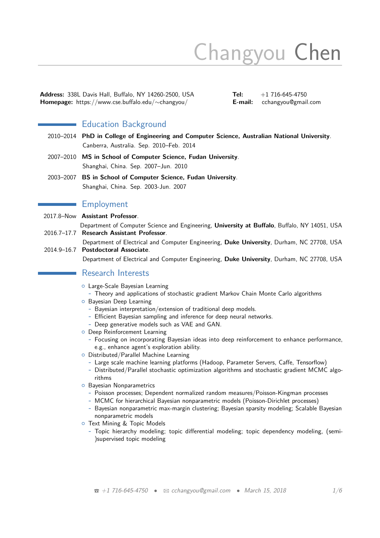# Changyou Chen

**Address:** 338L Davis Hall, Buffalo, NY 14260-2500, USA **Tel:** +1 716-645-4750 **Homepage:** https://www.cse.buffalo.edu/~changyou/ **E-mail:** cchangyou@gmail.com

# Education Background

- 2010–2014 **PhD in College of Engineering and Computer Science, Australian National University**. Canberra, Australia. Sep. 2010–Feb. 2014
- 2007–2010 **MS in School of Computer Science, Fudan University**. Shanghai, China. Sep. 2007–Jun. 2010
- 2003–2007 **BS in School of Computer Science, Fudan University**. Shanghai, China. Sep. 2003-Jun. 2007

# **Employment**

2017.8–Now **Assistant Professor**.

- Department of Computer Science and Engineering, *University at Buffalo*, Buffalo, NY 14051, USA 2016.7–17.7 **Research Assistant Professor**.
- Department of Electrical and Computer Engineering, **Duke University**, Durham, NC 27708, USA 2014.9–16.7 **Postdoctoral Associate**.
	- Department of Electrical and Computer Engineering, **Duke University**, Durham, NC 27708, USA

## Research Interests

- { Large-Scale Bayesian Learning
	- **-** Theory and applications of stochastic gradient Markov Chain Monte Carlo algorithms
- **o** Bayesian Deep Learning
	- **-** Bayesian interpretation/extension of traditional deep models.
	- **-** Eÿcient Bayesian sampling and inference for deep neural networks.
	- **-** Deep generative models such as VAE and GAN.
- **O** Deep Reinforcement Learning
	- **-** Focusing on incorporating Bayesian ideas into deep reinforcement to enhance performance, e.g., enhance agent's exploration ability.
- { Distributed/Parallel Machine Learning
	- Large scale machine learning platforms (Hadoop, Parameter Servers, Caffe, Tensorflow)
	- **-** Distributed/Parallel stochastic optimization algorithms and stochastic gradient MCMC algorithms
- **o** Bayesian Nonparametrics
	- **-** Poisson processes; Dependent normalized random measures/Poisson-Kingman processes
	- **-** MCMC for hierarchical Bayesian nonparametric models (Poisson-Dirichlet processes)
	- **-** Bayesian nonparametric max-margin clustering; Bayesian sparsity modeling; Scalable Bayesian nonparametric models
- **O** Text Mining & Topic Models
	- **-** Topic hierarchy modeling; topic di˙erential modeling; topic dependency modeling, (semi- )supervised topic modeling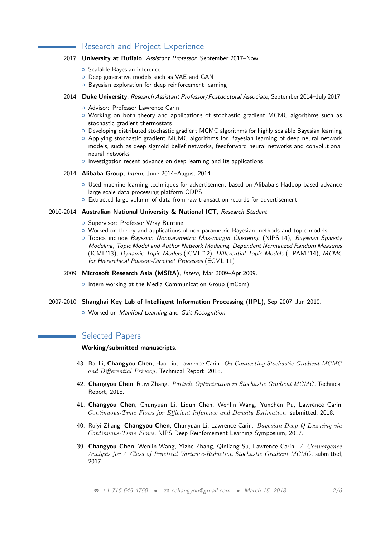## Research and Project Experience

- 2017 **University at Buffalo**, Assistant Professor, September 2017-Now.
	- **o** Scalable Bayesian inference
	- **O** Deep generative models such as VAE and GAN
	- <sup>o</sup> Bayesian exploration for deep reinforcement learning
- 2014 **Duke University**, Research Assistant Professor/Postdoctoral Associate, September 2014–July 2017.
	- o Advisor: Professor Lawrence Carin
	- { Working on both theory and applications of stochastic gradient MCMC algorithms such as stochastic gradient thermostats
	- $\circ$  Developing distributed stochastic gradient MCMC algorithms for highly scalable Bayesian learning
	- $\circ$  Applying stochastic gradient MCMC algorithms for Bayesian learning of deep neural network models, such as deep sigmoid belief networks, feedforward neural networks and convolutional neural networks
	- o Investigation recent advance on deep learning and its applications

#### 2014 **Alibaba Group**, Intern, June 2014–August 2014.

- { Used machine learning techniques for advertisement based on Alibaba's Hadoop based advance large scale data processing platform ODPS
- { Extracted large volumn of data from raw transaction records for advertisement

#### 2010-2014 **Australian National University & National ICT**, Research Student.

- **O** Supervisor: Professor Wray Buntine
- { Worked on theory and applications of non-parametric Bayesian methods and topic models
- $\circ$  Topics include Bayesian Nonparametric Max-margin Clustering (NIPS'14), Bayesian Sparsity Modeling, Topic Model and Author Network Modeling, Dependent Normalized Random Measures (ICML'13), Dynamic Topic Models (ICML'12), Differential Topic Models (TPAMI'14), MCMC for Hierarchical Poisson-Dirichlet Processes (ECML'11)
- 2009 **Microsoft Research Asia (MSRA)**, Intern, Mar 2009–Apr 2009.

o Intern working at the Media Communication Group (mCom)

## 2007-2010 **Shanghai Key Lab of Intelligent Information Processing (IIPL)**, Sep 2007–Jun 2010.

<sup>o</sup> Worked on *Manifold Learning* and *Gait Recognition* 

## **Selected Papers**

- **Working/submitted manuscripts**.
	- 43. Bai Li, **Changyou Chen**, Hao Liu, Lawrence Carin. *On Connecting Stochastic Gradient MCMC and Di˙erential Privacy*, Technical Report, 2018.
	- 42. **Changyou Chen**, Ruiyi Zhang. *Particle Optimization in Stochastic Gradient MCMC* , Technical Report, 2018.
	- 41. **Changyou Chen**, Chunyuan Li, Liqun Chen, Wenlin Wang, Yunchen Pu, Lawrence Carin. *Continuous-Time Flows for Efficient Inference and Density Estimation, submitted, 2018.*
	- 40. Ruiyi Zhang, **Changyou Chen**, Chunyuan Li, Lawrence Carin. *Bayesian Deep Q-Learning via Continuous-Time Flows* , NIPS Deep Reinforcement Learning Symposium, 2017.
	- 39. **Changyou Chen**, Wenlin Wang, Yizhe Zhang, Qinliang Su, Lawrence Carin. *A Convergence Analysis for A Class of Practical Variance-Reduction Stochastic Gradient MCMC* , submitted, 2017.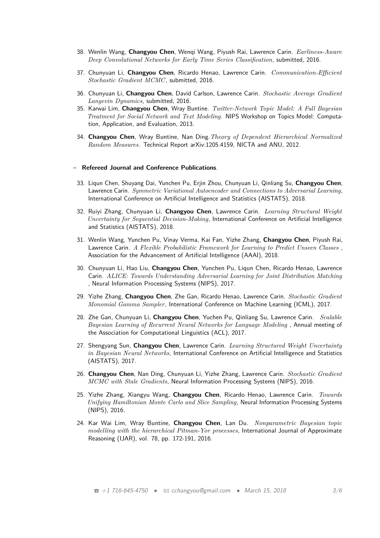- 38. Wenlin Wang, **Changyou Chen**, Wenqi Wang, Piyush Rai, Lawrence Carin. *Earliness-Aware Deep Convolutional Networks for Early Time Series Classifcation*, submitted, 2016.
- 37. Chunyuan Li, **Changyou Chen**, Ricardo Henao, Lawrence Carin. *Communication-Eÿcient Stochastic Gradient MCMC* , submitted, 2016.
- 36. Chunyuan Li, **Changyou Chen**, David Carlson, Lawrence Carin. *Stochastic Average Gradient Langevin Dynamics*, submitted, 2016.
- 35. Karwai Lim, **Changyou Chen**, Wray Buntine. *Twitter-Network Topic Model: A Full Bayesian Treatment for Social Network and Text Modeling*. NIPS Workshop on Topics Model: Computation, Application, and Evaluation, 2013.
- 34. **Changyou Chen**, Wray Buntine, Nan Ding.*Theory of Dependent Hierarchical Normalized Random Measures*. Technical Report arXiv:1205.4159, NICTA and ANU, 2012.

#### – **Refereed Journal and Conference Publications**.

- 33. Liqun Chen, Shuyang Dai, Yunchen Pu, Erjin Zhou, Chunyuan Li, Qinliang Su, **Changyou Chen**, Lawrence Carin. *Symmetric Variational Autoencoder and Connections to Adversarial Learning*, International Conference on Artificial Intelligence and Statistics (AISTATS), 2018.
- 32. Ruiyi Zhang, Chunyuan Li, **Changyou Chen**, Lawrence Carin. *Learning Structural Weight Uncertainty for Sequential Decision-Making*, International Conference on Artifcial Intelligence and Statistics (AISTATS), 2018.
- 31. Wenlin Wang, Yunchen Pu, Vinay Verma, Kai Fan, Yizhe Zhang, **Changyou Chen**, Piyush Rai, Lawrence Carin. *A Flexible Probabilistic Framework for Learning to Predict Unseen Classes* , Association for the Advancement of Artificial Intelligence (AAAI), 2018.
- 30. Chunyuan Li, Hao Liu, **Changyou Chen**, Yunchen Pu, Liqun Chen, Ricardo Henao, Lawrence Carin. *ALICE: Towards Understanding Adversarial Learning for Joint Distribution Matching*  , Neural Information Processing Systems (NIPS), 2017.
- 29. Yizhe Zhang, **Changyou Chen**, Zhe Gan, Ricardo Henao, Lawrence Carin. *Stochastic Gradient Monomial Gamma Sampler* , International Conference on Machine Learning (ICML), 2017.
- 28. Zhe Gan, Chunyuan Li, **Changyou Chen**, Yuchen Pu, Qinliang Su, Lawrence Carin. *Scalable Bayesian Learning of Recurrent Neural Networks for Language Modeling* , Annual meeting of the Association for Computational Linguistics (ACL), 2017.
- 27. Shengyang Sun, **Changyou Chen**, Lawrence Carin. *Learning Structured Weight Uncertainty in Bayesian Neural Networks*, International Conference on Artifcial Intelligence and Statistics (AISTATS), 2017.
- 26. **Changyou Chen**, Nan Ding, Chunyuan Li, Yizhe Zhang, Lawrence Carin. *Stochastic Gradient MCMC with Stale Gradients*, Neural Information Processing Systems (NIPS), 2016.
- 25. Yizhe Zhang, Xiangyu Wang, **Changyou Chen**, Ricardo Henao, Lawrence Carin. *Towards Unifying Hamiltonian Monte Carlo and Slice Sampling*, Neural Information Processing Systems (NIPS), 2016.
- 24. Kar Wai Lim, Wray Buntine, **Changyou Chen**, Lan Du. *Nonparametric Bayesian topic modelling with the hierarchical Pitman-Yor processes*, International Journal of Approximate Reasoning (IJAR), vol. 78, pp. 172-191, 2016.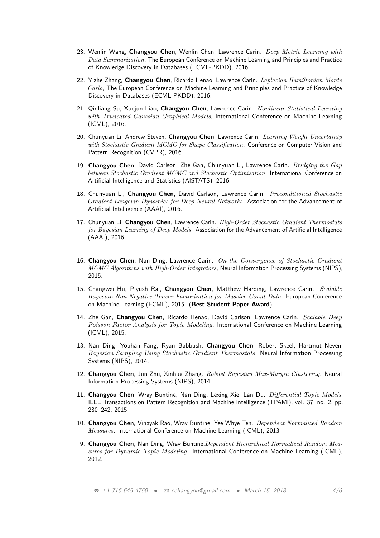- 23. Wenlin Wang, **Changyou Chen**, Wenlin Chen, Lawrence Carin. *Deep Metric Learning with Data Summarization*, The European Conference on Machine Learning and Principles and Practice of Knowledge Discovery in Databases (ECML-PKDD), 2016.
- 22. Yizhe Zhang, **Changyou Chen**, Ricardo Henao, Lawrence Carin. *Laplacian Hamiltonian Monte Carlo*, The European Conference on Machine Learning and Principles and Practice of Knowledge Discovery in Databases (ECML-PKDD), 2016.
- 21. Qinliang Su, Xuejun Liao, **Changyou Chen**, Lawrence Carin. *Nonlinear Statistical Learning with Truncated Gaussian Graphical Models*, International Conference on Machine Learning (ICML), 2016.
- 20. Chunyuan Li, Andrew Steven, **Changyou Chen**, Lawrence Carin. *Learning Weight Uncertainty with Stochastic Gradient MCMC for Shape Classifcation*. Conference on Computer Vision and Pattern Recognition (CVPR), 2016.
- 19. **Changyou Chen**, David Carlson, Zhe Gan, Chunyuan Li, Lawrence Carin. *Bridging the Gap between Stochastic Gradient MCMC and Stochastic Optimization*. International Conference on Artificial Intelligence and Statistics (AISTATS), 2016.
- 18. Chunyuan Li, **Changyou Chen**, David Carlson, Lawrence Carin. *Preconditioned Stochastic Gradient Langevin Dynamics for Deep Neural Networks*. Association for the Advancement of Artificial Intelligence (AAAI), 2016.
- 17. Chunyuan Li, **Changyou Chen**, Lawrence Carin. *High-Order Stochastic Gradient Thermostats for Bayesian Learning of Deep Models*. Association for the Advancement of Artifcial Intelligence (AAAI), 2016.
- 16. **Changyou Chen**, Nan Ding, Lawrence Carin. *On the Convergence of Stochastic Gradient MCMC Algorithms with High-Order Integrators*, Neural Information Processing Systems (NIPS), 2015.
- 15. Changwei Hu, Piyush Rai, **Changyou Chen**, Matthew Harding, Lawrence Carin. *Scalable Bayesian Non-Negative Tensor Factorization for Massive Count Data*. European Conference on Machine Learning (ECML), 2015. (**Best Student Paper Award**)
- 14. Zhe Gan, **Changyou Chen**, Ricardo Henao, David Carlson, Lawrence Carin. *Scalable Deep Poisson Factor Analysis for Topic Modeling* . International Conference on Machine Learning (ICML), 2015.
- 13. Nan Ding, Youhan Fang, Ryan Babbush, **Changyou Chen**, Robert Skeel, Hartmut Neven. *Bayesian Sampling Using Stochastic Gradient Thermostats*. Neural Information Processing Systems (NIPS), 2014.
- 12. **Changyou Chen**, Jun Zhu, Xinhua Zhang. *Robust Bayesian Max-Margin Clustering*. Neural Information Processing Systems (NIPS), 2014.
- 11. Changyou Chen, Wray Buntine, Nan Ding, Lexing Xie, Lan Du. *Differential Topic Models*. IEEE Transactions on Pattern Recognition and Machine Intelligence (TPAMI), vol. 37, no. 2, pp. 230–242, 2015.
- 10. **Changyou Chen**, Vinayak Rao, Wray Buntine, Yee Whye Teh. *Dependent Normalized Random Measures*. International Conference on Machine Learning (ICML), 2013.
- 9. **Changyou Chen**, Nan Ding, Wray Buntine.*Dependent Hierarchical Normalized Random Measures for Dynamic Topic Modeling*. International Conference on Machine Learning (ICML), 2012.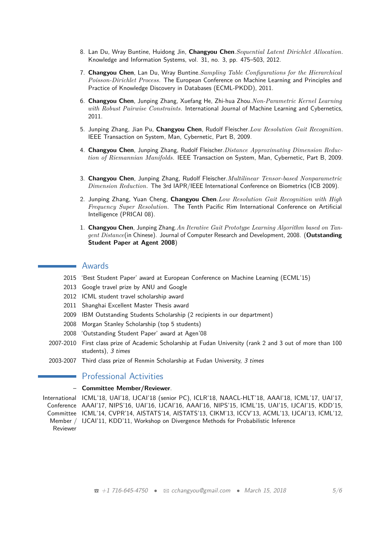- 8. Lan Du, Wray Buntine, Huidong Jin, **Changyou Chen**.*Sequential Latent Dirichlet Allocation*. Knowledge and Information Systems, vol. 31, no. 3, pp. 475–503, 2012.
- 7. **Changyou Chen**, Lan Du, Wray Buntine.*Sampling Table Confgurations for the Hierarchical Poisson-Dirichlet Process* . The European Conference on Machine Learning and Principles and Practice of Knowledge Discovery in Databases (ECML-PKDD), 2011.
- 6. **Changyou Chen**, Junping Zhang, Xuefang He, Zhi-hua Zhou.*Non-Parametric Kernel Learning with Robust Pairwise Constraints*. International Journal of Machine Learning and Cybernetics, 2011.
- 5. Junping Zhang, Jian Pu, **Changyou Chen**, Rudolf Fleischer.*Low Resolution Gait Recognition*. IEEE Transaction on System, Man, Cybernetic, Part B, 2009.
- 4. **Changyou Chen**, Junping Zhang, Rudolf Fleischer.*Distance Approximating Dimension Reduction of Riemannian Manifolds*. IEEE Transaction on System, Man, Cybernetic, Part B, 2009.
- 3. **Changyou Chen**, Junping Zhang, Rudolf Fleischer.*Multilinear Tensor-based Nonparametric Dimension Reduction* . The 3rd IAPR/IEEE International Conference on Biometrics (ICB 2009).
- 2. Junping Zhang, Yuan Cheng, **Changyou Chen**.*Low Resolution Gait Recognition with High Frequency Super Resolution*. The Tenth Pacific Rim International Conference on Artificial Intelligence (PRICAI 08).
- 1. **Changyou Chen**, Junping Zhang.*An Iterative Gait Prototype Learning Algorithm based on Tangent Distance*(in Chinese). Journal of Computer Research and Development, 2008. (**Outstanding Student Paper at Agent 2008**)

## Awards

- 2015 'Best Student Paper' award at European Conference on Machine Learning (ECML'15)
- 2013 Google travel prize by ANU and Google
- 2012 ICML student travel scholarship award
- 2011 Shanghai Excellent Master Thesis award
- 2009 IBM Outstanding Students Scholarship (2 recipients in our department)
- 2008 Morgan Stanley Scholarship (top 5 students)
- 2008 'Outstanding Student Paper' award at Agen'08
- 2007-2010 First class prize of Academic Scholarship at Fudan University (rank 2 and 3 out of more than 100 students), 3 times
- 2003-2007 Third class prize of Renmin Scholarship at Fudan University, 3 times

## **Professional Activities**

### – **Committee Member/Reviewer**.

International ICML'18, UAI'18, IJCAI'18 (senior PC), ICLR'18, NAACL-HLT'18, AAAI'18, ICML'17, UAI'17, Conference AAAI'17, NIPS'16, UAI'16, IJCAI'16, AAAI'16, NIPS'15, ICML'15, UAI'15, IJCAI'15, KDD'15, Committee ICML'14, CVPR'14, AISTATS'14, AISTATS'13, CIKM'13, ICCV'13, ACML'13, IJCAI'13, ICML'12, Member / IJCAI'11, KDD'11, Workshop on Divergence Methods for Probabilistic Inference Reviewer